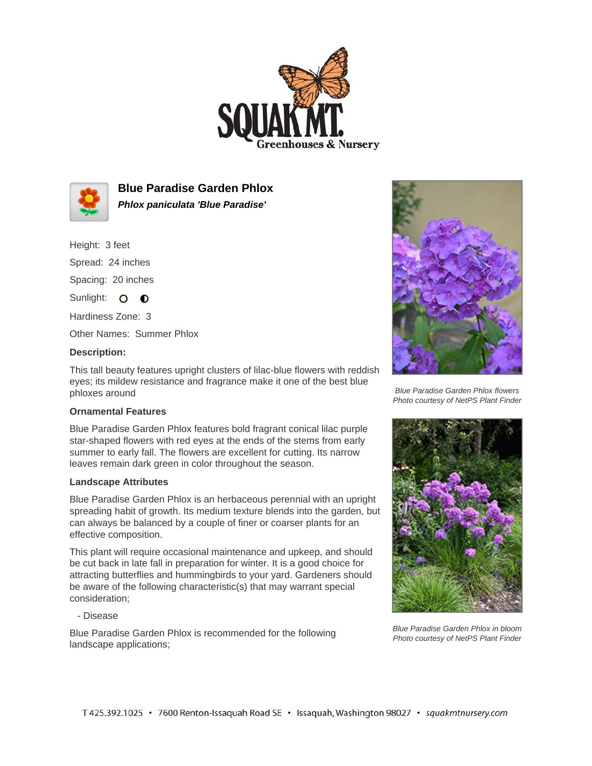



**Blue Paradise Garden Phlox Phlox paniculata 'Blue Paradise'**

Height: 3 feet

Spread: 24 inches

Spacing: 20 inches

Sunlight: O **O** 

Hardiness Zone: 3

Other Names: Summer Phlox

## **Description:**

This tall beauty features upright clusters of lilac-blue flowers with reddish eyes; its mildew resistance and fragrance make it one of the best blue phloxes around

## **Ornamental Features**

Blue Paradise Garden Phlox features bold fragrant conical lilac purple star-shaped flowers with red eyes at the ends of the stems from early summer to early fall. The flowers are excellent for cutting. Its narrow leaves remain dark green in color throughout the season.

## **Landscape Attributes**

Blue Paradise Garden Phlox is an herbaceous perennial with an upright spreading habit of growth. Its medium texture blends into the garden, but can always be balanced by a couple of finer or coarser plants for an effective composition.

This plant will require occasional maintenance and upkeep, and should be cut back in late fall in preparation for winter. It is a good choice for attracting butterflies and hummingbirds to your yard. Gardeners should be aware of the following characteristic(s) that may warrant special consideration;

- Disease

Blue Paradise Garden Phlox is recommended for the following landscape applications;



Blue Paradise Garden Phlox flowers Photo courtesy of NetPS Plant Finder



Blue Paradise Garden Phlox in bloom Photo courtesy of NetPS Plant Finder